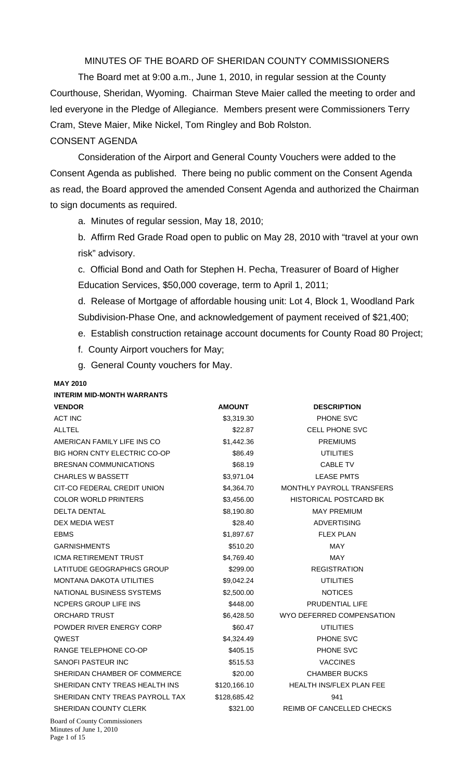MINUTES OF THE BOARD OF SHERIDAN COUNTY COMMISSIONERS

 The Board met at 9:00 a.m., June 1, 2010, in regular session at the County Courthouse, Sheridan, Wyoming. Chairman Steve Maier called the meeting to order and led everyone in the Pledge of Allegiance. Members present were Commissioners Terry Cram, Steve Maier, Mike Nickel, Tom Ringley and Bob Rolston.

## CONSENT AGENDA

Consideration of the Airport and General County Vouchers were added to the Consent Agenda as published. There being no public comment on the Consent Agenda as read, the Board approved the amended Consent Agenda and authorized the Chairman to sign documents as required.

a. Minutes of regular session, May 18, 2010;

b. Affirm Red Grade Road open to public on May 28, 2010 with "travel at your own risk" advisory.

c. Official Bond and Oath for Stephen H. Pecha, Treasurer of Board of Higher Education Services, \$50,000 coverage, term to April 1, 2011;

d. Release of Mortgage of affordable housing unit: Lot 4, Block 1, Woodland Park Subdivision-Phase One, and acknowledgement of payment received of \$21,400;

- e. Establish construction retainage account documents for County Road 80 Project;
- f. County Airport vouchers for May;
- g. General County vouchers for May.

# **MAY 2010 INTERIM MID-MONTH WARRANTS**

| <b>VENDOR</b>                       | <b>AMOUNT</b> | <b>DESCRIPTION</b>              |
|-------------------------------------|---------------|---------------------------------|
| <b>ACT INC</b>                      | \$3,319.30    | PHONE SVC                       |
| <b>ALLTEL</b>                       | \$22.87       | <b>CELL PHONE SVC</b>           |
| AMERICAN FAMILY LIFE INS CO         | \$1,442.36    | <b>PREMIUMS</b>                 |
| <b>BIG HORN CNTY ELECTRIC CO-OP</b> | \$86.49       | <b>UTILITIES</b>                |
| BRESNAN COMMUNICATIONS              | \$68.19       | <b>CABLE TV</b>                 |
| <b>CHARLES W BASSETT</b>            | \$3,971.04    | <b>LEASE PMTS</b>               |
| CIT-CO FEDERAL CREDIT UNION         | \$4,364.70    | MONTHLY PAYROLL TRANSFERS       |
| <b>COLOR WORLD PRINTERS</b>         | \$3,456.00    | <b>HISTORICAL POSTCARD BK</b>   |
| <b>DELTA DENTAL</b>                 | \$8,190.80    | <b>MAY PREMIUM</b>              |
| DEX MEDIA WEST                      | \$28.40       | <b>ADVERTISING</b>              |
| <b>EBMS</b>                         | \$1,897.67    | <b>FLEX PLAN</b>                |
| <b>GARNISHMENTS</b>                 | \$510.20      | <b>MAY</b>                      |
| <b>ICMA RETIREMENT TRUST</b>        | \$4,769.40    | <b>MAY</b>                      |
| LATITUDE GEOGRAPHICS GROUP          | \$299.00      | <b>REGISTRATION</b>             |
| <b>MONTANA DAKOTA UTILITIES</b>     | \$9,042.24    | <b>UTILITIES</b>                |
| NATIONAL BUSINESS SYSTEMS           | \$2,500.00    | <b>NOTICES</b>                  |
| <b>NCPERS GROUP LIFE INS</b>        | \$448.00      | PRUDENTIAL LIFE                 |
| <b>ORCHARD TRUST</b>                | \$6,428.50    | WYO DEFERRED COMPENSATION       |
| POWDER RIVER ENERGY CORP            | \$60.47       | <b>UTILITIES</b>                |
| <b>QWEST</b>                        | \$4,324.49    | PHONE SVC                       |
| RANGE TELEPHONE CO-OP               | \$405.15      | PHONE SVC                       |
| SANOFI PASTEUR INC                  | \$515.53      | <b>VACCINES</b>                 |
| SHERIDAN CHAMBER OF COMMERCE        | \$20.00       | <b>CHAMBER BUCKS</b>            |
| SHERIDAN CNTY TREAS HEALTH INS      | \$120,166.10  | <b>HEALTH INS/FLEX PLAN FEE</b> |
| SHERIDAN CNTY TREAS PAYROLL TAX     | \$128,685.42  | 941                             |
| SHERIDAN COUNTY CLERK               | \$321.00      | REIMB OF CANCELLED CHECKS       |
| Roard of County Commissionars       |               |                                 |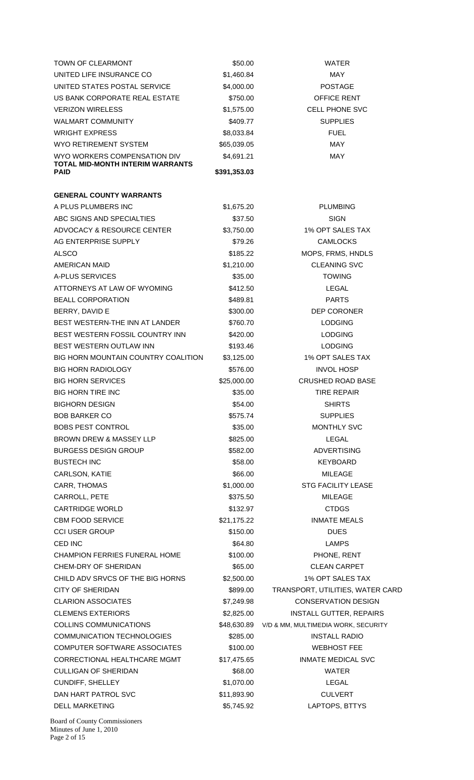| TOWN OF CLEARMONT                               | \$50.00             | <b>WATER</b>                                    |
|-------------------------------------------------|---------------------|-------------------------------------------------|
| UNITED LIFE INSURANCE CO                        | \$1,460.84          | <b>MAY</b>                                      |
| UNITED STATES POSTAL SERVICE                    | \$4,000.00          | <b>POSTAGE</b>                                  |
| US BANK CORPORATE REAL ESTATE                   | \$750.00            | OFFICE RENT                                     |
| <b>VERIZON WIRELESS</b>                         | \$1,575.00          | <b>CELL PHONE SVC</b>                           |
| WALMART COMMUNITY                               | \$409.77            | <b>SUPPLIES</b>                                 |
| <b>WRIGHT EXPRESS</b>                           | \$8,033.84          | <b>FUEL</b>                                     |
| WYO RETIREMENT SYSTEM                           | \$65,039.05         | <b>MAY</b>                                      |
| WYO WORKERS COMPENSATION DIV                    | \$4,691.21          | MAY                                             |
| <b>TOTAL MID-MONTH INTERIM WARRANTS</b><br>PAID |                     |                                                 |
|                                                 | \$391,353.03        |                                                 |
| <b>GENERAL COUNTY WARRANTS</b>                  |                     |                                                 |
| A PLUS PLUMBERS INC                             | \$1,675.20          | <b>PLUMBING</b>                                 |
| ABC SIGNS AND SPECIALTIES                       | \$37.50             | <b>SIGN</b>                                     |
| ADVOCACY & RESOURCE CENTER                      | \$3,750.00          | 1% OPT SALES TAX                                |
| AG ENTERPRISE SUPPLY                            |                     | <b>CAMLOCKS</b>                                 |
| <b>ALSCO</b>                                    | \$79.26<br>\$185.22 | MOPS, FRMS, HNDLS                               |
|                                                 |                     |                                                 |
| AMERICAN MAID                                   | \$1,210.00          | <b>CLEANING SVC</b>                             |
| A-PLUS SERVICES                                 | \$35.00             | TOWING                                          |
| ATTORNEYS AT LAW OF WYOMING                     | \$412.50            | LEGAL                                           |
| <b>BEALL CORPORATION</b>                        | \$489.81            | <b>PARTS</b>                                    |
| BERRY, DAVID E                                  | \$300.00            | <b>DEP CORONER</b>                              |
| BEST WESTERN-THE INN AT LANDER                  | \$760.70            | <b>LODGING</b>                                  |
| BEST WESTERN FOSSIL COUNTRY INN                 | \$420.00            | <b>LODGING</b>                                  |
| BEST WESTERN OUTLAW INN                         | \$193.46            | <b>LODGING</b>                                  |
| <b>BIG HORN MOUNTAIN COUNTRY COALITION</b>      | \$3,125.00          | 1% OPT SALES TAX                                |
| <b>BIG HORN RADIOLOGY</b>                       | \$576.00            | <b>INVOL HOSP</b>                               |
| <b>BIG HORN SERVICES</b>                        | \$25,000.00         | <b>CRUSHED ROAD BASE</b>                        |
| <b>BIG HORN TIRE INC</b>                        | \$35.00             | <b>TIRE REPAIR</b>                              |
| <b>BIGHORN DESIGN</b>                           | \$54.00             | <b>SHIRTS</b>                                   |
| <b>BOB BARKER CO</b>                            | \$575.74            | <b>SUPPLIES</b>                                 |
| <b>BOBS PEST CONTROL</b>                        | \$35.00             | <b>MONTHLY SVC</b>                              |
| <b>BROWN DREW &amp; MASSEY LLP</b>              | \$825.00            | LEGAL                                           |
| <b>BURGESS DESIGN GROUP</b>                     | \$582.00            | <b>ADVERTISING</b>                              |
| <b>BUSTECH INC</b>                              | \$58.00             | <b>KEYBOARD</b>                                 |
| CARLSON, KATIE                                  | \$66.00             | <b>MILEAGE</b>                                  |
| CARR, THOMAS                                    | \$1,000.00          | <b>STG FACILITY LEASE</b>                       |
| CARROLL, PETE                                   | \$375.50            | <b>MILEAGE</b>                                  |
| <b>CARTRIDGE WORLD</b>                          | \$132.97            | <b>CTDGS</b>                                    |
| <b>CBM FOOD SERVICE</b>                         | \$21,175.22         | <b>INMATE MEALS</b>                             |
| <b>CCI USER GROUP</b>                           | \$150.00            | <b>DUES</b>                                     |
| CED INC                                         | \$64.80             | <b>LAMPS</b>                                    |
| <b>CHAMPION FERRIES FUNERAL HOME</b>            | \$100.00            | PHONE, RENT                                     |
| CHEM-DRY OF SHERIDAN                            | \$65.00             | <b>CLEAN CARPET</b>                             |
| CHILD ADV SRVCS OF THE BIG HORNS                | \$2,500.00          | 1% OPT SALES TAX                                |
| <b>CITY OF SHERIDAN</b>                         | \$899.00            | TRANSPORT, UTILITIES, WATER CARD                |
| <b>CLARION ASSOCIATES</b>                       | \$7,249.98          | <b>CONSERVATION DESIGN</b>                      |
| <b>CLEMENS EXTERIORS</b>                        | \$2,825.00          | <b>INSTALL GUTTER, REPAIRS</b>                  |
| COLLINS COMMUNICATIONS                          |                     | \$48,630.89 V/D & MM, MULTIMEDIA WORK, SECURITY |
| COMMUNICATION TECHNOLOGIES                      | \$285.00            | <b>INSTALL RADIO</b>                            |
| COMPUTER SOFTWARE ASSOCIATES                    | \$100.00            | <b>WEBHOST FEE</b>                              |
| CORRECTIONAL HEALTHCARE MGMT                    | \$17,475.65         | <b>INMATE MEDICAL SVC</b>                       |
| <b>CULLIGAN OF SHERIDAN</b>                     | \$68.00             | <b>WATER</b>                                    |
| CUNDIFF, SHELLEY                                | \$1,070.00          | LEGAL                                           |
| DAN HART PATROL SVC                             | \$11,893.90         | <b>CULVERT</b>                                  |
| <b>DELL MARKETING</b>                           | \$5,745.92          | LAPTOPS, BTTYS                                  |
| <b>Board of County Commissioners</b>            |                     |                                                 |

Board of County Commissioners Minutes of June 1, 2010 Page 2 of 15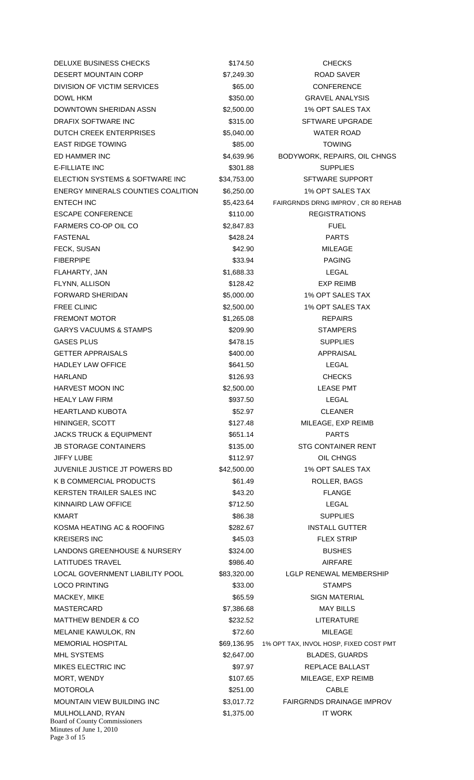Board of County Commissioners Minutes of June 1, 2010 Page 3 of 15 DELUXE BUSINESS CHECKS \$174.50 CHECKS DESERT MOUNTAIN CORP \$7,249.30 ROAD SAVER DIVISION OF VICTIM SERVICES 665.00 S65.00 CONFERENCE DOWL HKM \$350.00 GRAVEL ANALYSIS DOWNTOWN SHERIDAN ASSN \$2,500.00 1% OPT SALES TAX DRAFIX SOFTWARE INC **\$315.00** SFTWARE UPGRADE DUTCH CREEK ENTERPRISES  $$5,040.00$  WATER ROAD EAST RIDGE TOWING **EAST RIDGE TOWING \$85.00** TOWING ED HAMMER INC **EXECUTE:** \$4,639.96 BODYWORK, REPAIRS, OIL CHNGS E-FILLIATE INC **E-FILLIATE INC S** SUPPLIES ELECTION SYSTEMS & SOFTWARE INC \$34,753.00 SFTWARE SUPPORT ENERGY MINERALS COUNTIES COALITION \$6,250.00 1% OPT SALES TAX ENTECH INC **ENTECH INC** \$5,423.64 FAIRGRNDS DRNG IMPROV, CR 80 REHAB ESCAPE CONFERENCE  $$110.00$  REGISTRATIONS FARMERS CO-OP OIL CO  $$2,847.83$  FUEL FASTENAL \$428.24 PARTS FECK, SUSAN \$42.90 MILEAGE FIBERPIPE \$33.94 PAGING FLAHARTY, JAN \$1,688.33 LEGAL FLYNN, ALLISON \$128.42 EXP REIMB FORWARD SHERIDAN \$5,000.00 1% OPT SALES TAX FREE CLINIC 62,500.00 1% OPT SALES TAX FREMONT MOTOR \$1,265.08 REPAIRS GARYS VACUUMS & STAMPS  $$209.90$  STAMPERS GASES PLUS  $$478.15$  SUPPLIES GETTER APPRAISALS \$400.00 APPRAISAL HADLEY LAW OFFICE THE S641.50 S641.50 LEGAL HARLAND \$126.93 CHECKS HARVEST MOON INC **62,500.00** S2,500.00 LEASE PMT HEALY LAW FIRM **the contract of the CONTROL CONTROL** \$937.50 **LEGAL** HEARTLAND KUBOTA \$52.97 CLEANER HININGER, SCOTT **\$127.48** MILEAGE, EXP REIMB JACKS TRUCK & EQUIPMENT \$651.14 \$651.14 JB STORAGE CONTAINERS  $$135.00$  STG CONTAINER RENT JIFFY LUBE \$112.97 OIL CHNGS JUVENILE JUSTICE JT POWERS BD \$42,500.00 1% OPT SALES TAX K B COMMERCIAL PRODUCTS 661.49 S61.49 ROLLER, BAGS KERSTEN TRAILER SALES INC \$43.20 FLANGE KINNAIRD LAW OFFICE **12.50** S712.50 **LEGAL** KMART \$86.38 SUPPLIES KOSMA HEATING AC & ROOFING **\$282.67** \$282.67 INSTALL GUTTER KREISERS INC \$45.03 FLEX STRIP LANDONS GREENHOUSE & NURSERY  $$324.00$  BUSHES LATITUDES TRAVEL **AIRFARE 1998.40** AIRFARE LOCAL GOVERNMENT LIABILITY POOL \$83,320.00 LGLP RENEWAL MEMBERSHIP LOCO PRINTING **\$33.00** STAMPS MACKEY, MIKE \$65.59 SIGN MATERIAL MASTERCARD \$7,386.68 MAY BILLS MATTHEW BENDER & CO \$232.52 LITERATURE MELANIE KAWULOK, RN \$72.60 MILEAGE MEMORIAL HOSPITAL **1200 SE9,136.95** 1% OPT TAX, INVOL HOSP, FIXED COST PMT MHL SYSTEMS  $$2,647.00$  BLADES, GUARDS MIKES ELECTRIC INC **1998 Same Service State State Service State State State State State Assets And Assets A State State State State State State State State State State State State State State State State State State Stat** MORT, WENDY **1208 MILEAGE, EXP REIMB** \$107.65 MILEAGE, EXP REIMB MOTOROLA \$251.00 CABLE MOUNTAIN VIEW BUILDING INC  $$3,017.72$  FAIRGRNDS DRAINAGE IMPROV MULHOLLAND, RYAN \$1,375.00 IT WORK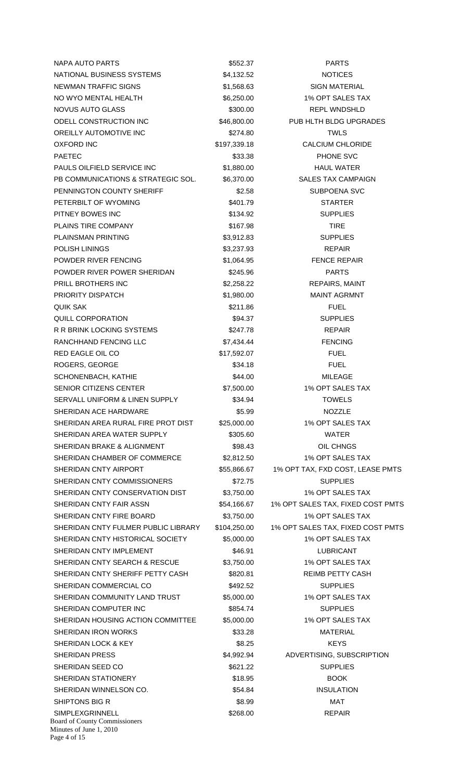| NAPA AUTO PARTS                                                          | \$552.37     | <b>PARTS</b>                      |
|--------------------------------------------------------------------------|--------------|-----------------------------------|
| NATIONAL BUSINESS SYSTEMS                                                | \$4,132.52   | <b>NOTICES</b>                    |
| NEWMAN TRAFFIC SIGNS                                                     | \$1,568.63   | <b>SIGN MATERIAL</b>              |
| NO WYO MENTAL HEALTH                                                     | \$6,250.00   | 1% OPT SALES TAX                  |
| NOVUS AUTO GLASS                                                         | \$300.00     | <b>REPL WNDSHLD</b>               |
| ODELL CONSTRUCTION INC                                                   | \$46,800.00  | PUB HLTH BLDG UPGRADES            |
| OREILLY AUTOMOTIVE INC                                                   | \$274.80     | <b>TWLS</b>                       |
| OXFORD INC                                                               | \$197,339.18 | <b>CALCIUM CHLORIDE</b>           |
| <b>PAETEC</b>                                                            | \$33.38      | PHONE SVC                         |
| PAULS OILFIELD SERVICE INC                                               | \$1,880.00   | <b>HAUL WATER</b>                 |
| PB COMMUNICATIONS & STRATEGIC SOL.                                       | \$6,370.00   | <b>SALES TAX CAMPAIGN</b>         |
| PENNINGTON COUNTY SHERIFF                                                |              |                                   |
|                                                                          | \$2.58       | SUBPOENA SVC                      |
| PETERBILT OF WYOMING                                                     | \$401.79     | <b>STARTER</b>                    |
| PITNEY BOWES INC                                                         | \$134.92     | <b>SUPPLIES</b>                   |
| PLAINS TIRE COMPANY                                                      | \$167.98     | <b>TIRE</b>                       |
| PLAINSMAN PRINTING                                                       | \$3,912.83   | <b>SUPPLIES</b>                   |
| <b>POLISH LININGS</b>                                                    | \$3,237.93   | <b>REPAIR</b>                     |
| POWDER RIVER FENCING                                                     | \$1,064.95   | <b>FENCE REPAIR</b>               |
| POWDER RIVER POWER SHERIDAN                                              | \$245.96     | <b>PARTS</b>                      |
| PRILL BROTHERS INC                                                       | \$2,258.22   | <b>REPAIRS, MAINT</b>             |
| PRIORITY DISPATCH                                                        | \$1,980.00   | <b>MAINT AGRMNT</b>               |
| QUIK SAK                                                                 | \$211.86     | <b>FUEL</b>                       |
| QUILL CORPORATION                                                        | \$94.37      | <b>SUPPLIES</b>                   |
| R R BRINK LOCKING SYSTEMS                                                | \$247.78     | <b>REPAIR</b>                     |
| RANCHHAND FENCING LLC                                                    | \$7,434.44   | <b>FENCING</b>                    |
| RED EAGLE OIL CO                                                         | \$17,592.07  | <b>FUEL</b>                       |
| ROGERS, GEORGE                                                           | \$34.18      | <b>FUEL</b>                       |
| SCHONENBACH, KATHIE                                                      | \$44.00      | <b>MILEAGE</b>                    |
| <b>SENIOR CITIZENS CENTER</b>                                            | \$7,500.00   | 1% OPT SALES TAX                  |
| <b>SERVALL UNIFORM &amp; LINEN SUPPLY</b>                                | \$34.94      | <b>TOWELS</b>                     |
| SHERIDAN ACE HARDWARE                                                    | \$5.99       | <b>NOZZLE</b>                     |
| SHERIDAN AREA RURAL FIRE PROT DIST                                       | \$25,000.00  | 1% OPT SALES TAX                  |
| SHERIDAN AREA WATER SUPPLY                                               | \$305.60     | <b>WATER</b>                      |
| SHERIDAN BRAKE & ALIGNMENT                                               | \$98.43      | OIL CHNGS                         |
| SHERIDAN CHAMBER OF COMMERCE                                             | \$2,812.50   | 1% OPT SALES TAX                  |
| SHERIDAN CNTY AIRPORT                                                    | \$55,866.67  | 1% OPT TAX, FXD COST, LEASE PMTS  |
| SHERIDAN CNTY COMMISSIONERS                                              | \$72.75      | <b>SUPPLIES</b>                   |
| SHERIDAN CNTY CONSERVATION DIST                                          |              | 1% OPT SALES TAX                  |
|                                                                          | \$3,750.00   |                                   |
| SHERIDAN CNTY FAIR ASSN                                                  | \$54,166.67  | 1% OPT SALES TAX, FIXED COST PMTS |
| SHERIDAN CNTY FIRE BOARD                                                 | \$3,750.00   | 1% OPT SALES TAX                  |
| SHERIDAN CNTY FULMER PUBLIC LIBRARY                                      | \$104,250.00 | 1% OPT SALES TAX, FIXED COST PMTS |
| SHERIDAN CNTY HISTORICAL SOCIETY                                         | \$5,000.00   | 1% OPT SALES TAX                  |
| SHERIDAN CNTY IMPLEMENT                                                  | \$46.91      | <b>LUBRICANT</b>                  |
| SHERIDAN CNTY SEARCH & RESCUE                                            | \$3,750.00   | 1% OPT SALES TAX                  |
| SHERIDAN CNTY SHERIFF PETTY CASH                                         | \$820.81     | REIMB PETTY CASH                  |
| SHERIDAN COMMERCIAL CO                                                   | \$492.52     | <b>SUPPLIES</b>                   |
| SHERIDAN COMMUNITY LAND TRUST                                            | \$5,000.00   | 1% OPT SALES TAX                  |
| SHERIDAN COMPUTER INC                                                    | \$854.74     | <b>SUPPLIES</b>                   |
| SHERIDAN HOUSING ACTION COMMITTEE                                        | \$5,000.00   | 1% OPT SALES TAX                  |
| SHERIDAN IRON WORKS                                                      | \$33.28      | <b>MATERIAL</b>                   |
| SHERIDAN LOCK & KEY                                                      | \$8.25       | <b>KEYS</b>                       |
| <b>SHERIDAN PRESS</b>                                                    | \$4,992.94   | ADVERTISING, SUBSCRIPTION         |
| SHERIDAN SEED CO                                                         | \$621.22     | <b>SUPPLIES</b>                   |
| SHERIDAN STATIONERY                                                      | \$18.95      | <b>BOOK</b>                       |
| SHERIDAN WINNELSON CO.                                                   | \$54.84      | <b>INSULATION</b>                 |
| SHIPTONS BIG R                                                           | \$8.99       | <b>MAT</b>                        |
| SIMPLEXGRINNELL                                                          | \$268.00     | <b>REPAIR</b>                     |
| Board of County Commissioners<br>Minutes of June 1, 2010<br>Page 4 of 15 |              |                                   |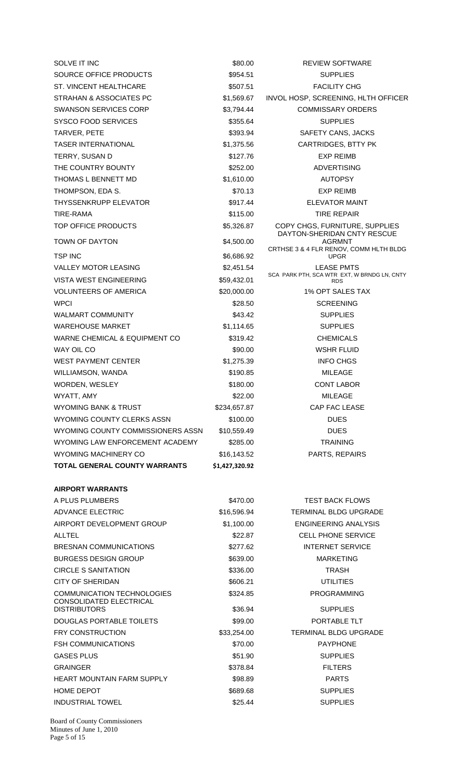| SOLVE IT INC                                                 | \$80.00        | <b>REVIEW SOFTWARE</b>                                        |
|--------------------------------------------------------------|----------------|---------------------------------------------------------------|
| SOURCE OFFICE PRODUCTS                                       | \$954.51       | <b>SUPPLIES</b>                                               |
| <b>ST. VINCENT HEALTHCARE</b>                                | \$507.51       | <b>FACILITY CHG</b>                                           |
| STRAHAN & ASSOCIATES PC                                      | \$1,569.67     | INVOL HOSP, SCREENING, HLTH OFFICER                           |
| <b>SWANSON SERVICES CORP</b>                                 | \$3,794.44     | <b>COMMISSARY ORDERS</b>                                      |
| <b>SYSCO FOOD SERVICES</b>                                   | \$355.64       | <b>SUPPLIES</b>                                               |
| TARVER, PETE                                                 | \$393.94       | SAFETY CANS, JACKS                                            |
| <b>TASER INTERNATIONAL</b>                                   | \$1,375.56     | CARTRIDGES, BTTY PK                                           |
| TERRY, SUSAN D                                               | \$127.76       | <b>EXP REIMB</b>                                              |
| THE COUNTRY BOUNTY                                           | \$252.00       | <b>ADVERTISING</b>                                            |
| THOMAS L BENNETT MD                                          | \$1,610.00     | <b>AUTOPSY</b>                                                |
| THOMPSON, EDA S.                                             | \$70.13        | <b>EXP REIMB</b>                                              |
| <b>THYSSENKRUPP ELEVATOR</b>                                 | \$917.44       | <b>ELEVATOR MAINT</b>                                         |
| TIRE-RAMA                                                    | \$115.00       | <b>TIRE REPAIR</b>                                            |
| TOP OFFICE PRODUCTS                                          | \$5,326.87     | COPY CHGS, FURNITURE, SUPPLIES<br>DAYTON-SHERIDAN CNTY RESCUE |
| TOWN OF DAYTON                                               | \$4,500.00     | <b>AGRMNT</b><br>CRTHSE 3 & 4 FLR RENOV, COMM HLTH BLDG       |
| <b>TSP INC</b>                                               | \$6,686.92     | <b>UPGR</b>                                                   |
| <b>VALLEY MOTOR LEASING</b>                                  | \$2,451.54     | <b>LEASE PMTS</b>                                             |
| <b>VISTA WEST ENGINEERING</b>                                | \$59,432.01    | SCA PARK PTH, SCA WTR EXT, W BRNDG LN, CNTY<br><b>RDS</b>     |
| <b>VOLUNTEERS OF AMERICA</b>                                 | \$20,000.00    | 1% OPT SALES TAX                                              |
| <b>WPCI</b>                                                  | \$28.50        | <b>SCREENING</b>                                              |
| <b>WALMART COMMUNITY</b>                                     | \$43.42        | <b>SUPPLIES</b>                                               |
| <b>WAREHOUSE MARKET</b>                                      | \$1,114.65     | <b>SUPPLIES</b>                                               |
| WARNE CHEMICAL & EQUIPMENT CO                                | \$319.42       | <b>CHEMICALS</b>                                              |
| WAY OIL CO                                                   | \$90.00        | <b>WSHR FLUID</b>                                             |
| <b>WEST PAYMENT CENTER</b>                                   | \$1,275.39     | <b>INFO CHGS</b>                                              |
| WILLIAMSON, WANDA                                            | \$190.85       | <b>MILEAGE</b>                                                |
| WORDEN, WESLEY                                               | \$180.00       | <b>CONT LABOR</b>                                             |
| WYATT, AMY                                                   | \$22.00        | <b>MILEAGE</b>                                                |
| WYOMING BANK & TRUST                                         | \$234,657.87   | CAP FAC LEASE                                                 |
| WYOMING COUNTY CLERKS ASSN                                   | \$100.00       | <b>DUES</b>                                                   |
| WYOMING COUNTY COMMISSIONERS ASSN                            | \$10,559.49    | <b>DUES</b>                                                   |
| WYOMING LAW ENFORCEMENT ACADEMY                              | \$285.00       | <b>TRAINING</b>                                               |
| <b>WYOMING MACHINERY CO</b>                                  | \$16,143.52    | PARTS, REPAIRS                                                |
| <b>TOTAL GENERAL COUNTY WARRANTS</b>                         | \$1,427,320.92 |                                                               |
| <b>AIRPORT WARRANTS</b>                                      |                |                                                               |
| A PLUS PLUMBERS                                              | \$470.00       | <b>TEST BACK FLOWS</b>                                        |
| <b>ADVANCE ELECTRIC</b>                                      | \$16,596.94    | TERMINAL BLDG UPGRADE                                         |
| AIRPORT DEVELOPMENT GROUP                                    | \$1,100.00     | ENGINEERING ANALYSIS                                          |
| ALLTEL                                                       | \$22.87        | <b>CELL PHONE SERVICE</b>                                     |
| BRESNAN COMMUNICATIONS                                       | \$277.62       | <b>INTERNET SERVICE</b>                                       |
| <b>BURGESS DESIGN GROUP</b>                                  | \$639.00       | <b>MARKETING</b>                                              |
| <b>CIRCLE S SANITATION</b>                                   | \$336.00       | <b>TRASH</b>                                                  |
| <b>CITY OF SHERIDAN</b>                                      | \$606.21       | <b>UTILITIES</b>                                              |
| <b>COMMUNICATION TECHNOLOGIES</b><br>CONSOLIDATED ELECTRICAL | \$324.85       | <b>PROGRAMMING</b>                                            |
| <b>DISTRIBUTORS</b>                                          | \$36.94        | <b>SUPPLIES</b>                                               |
| DOUGLAS PORTABLE TOILETS                                     | \$99.00        | PORTABLE TLT                                                  |
| <b>FRY CONSTRUCTION</b>                                      | \$33,254.00    | TERMINAL BLDG UPGRADE                                         |
| <b>FSH COMMUNICATIONS</b>                                    | \$70.00        | <b>PAYPHONE</b>                                               |
| <b>GASES PLUS</b>                                            | \$51.90        | <b>SUPPLIES</b>                                               |
| <b>GRAINGER</b>                                              | \$378.84       | <b>FILTERS</b>                                                |
| <b>HEART MOUNTAIN FARM SUPPLY</b>                            | \$98.89        | <b>PARTS</b>                                                  |
| HOME DEPOT                                                   | \$689.68       | <b>SUPPLIES</b>                                               |
| <b>INDUSTRIAL TOWEL</b>                                      | \$25.44        | <b>SUPPLIES</b>                                               |

Board of County Commissioners Minutes of June 1, 2010 Page 5 of 15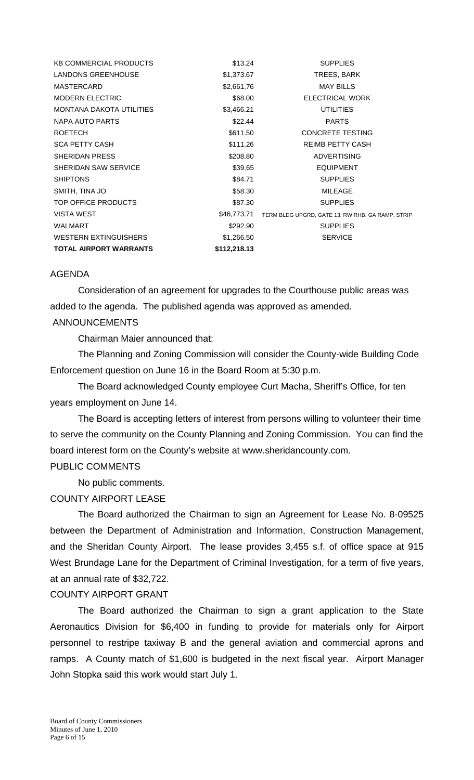| <b>KB COMMERCIAL PRODUCTS</b>   | \$13.24      | <b>SUPPLIES</b>                                  |
|---------------------------------|--------------|--------------------------------------------------|
| <b>LANDONS GREENHOUSE</b>       | \$1,373.67   | TREES, BARK                                      |
| MASTERCARD                      | \$2,661.76   | <b>MAY BILLS</b>                                 |
| <b>MODERN ELECTRIC</b>          | \$68.00      | ELECTRICAL WORK                                  |
| <b>MONTANA DAKOTA UTILITIES</b> | \$3,466.21   | <b>UTILITIES</b>                                 |
| NAPA AUTO PARTS                 | \$22.44      | <b>PARTS</b>                                     |
| <b>ROETECH</b>                  | \$611.50     | <b>CONCRETE TESTING</b>                          |
| <b>SCA PETTY CASH</b>           | \$111.26     | <b>REIMB PETTY CASH</b>                          |
| SHERIDAN PRESS                  | \$208.80     | <b>ADVERTISING</b>                               |
| SHERIDAN SAW SERVICE            | \$39.65      | <b>EQUIPMENT</b>                                 |
| <b>SHIPTONS</b>                 | \$84.71      | <b>SUPPLIES</b>                                  |
| SMITH, TINA JO                  | \$58.30      | <b>MILEAGE</b>                                   |
| TOP OFFICE PRODUCTS             | \$87.30      | <b>SUPPLIES</b>                                  |
| <b>VISTA WEST</b>               | \$46,773.71  | TERM BLDG UPGRD, GATE 13, RW RHB, GA RAMP, STRIP |
| <b>WALMART</b>                  | \$292.90     | <b>SUPPLIES</b>                                  |
| <b>WESTERN EXTINGUISHERS</b>    | \$1,266.50   | <b>SERVICE</b>                                   |
| <b>TOTAL AIRPORT WARRANTS</b>   | \$112,218.13 |                                                  |

### AGENDA

Consideration of an agreement for upgrades to the Courthouse public areas was added to the agenda. The published agenda was approved as amended.

# ANNOUNCEMENTS

Chairman Maier announced that:

The Planning and Zoning Commission will consider the County-wide Building Code Enforcement question on June 16 in the Board Room at 5:30 p.m.

 The Board acknowledged County employee Curt Macha, Sheriff's Office, for ten years employment on June 14.

 The Board is accepting letters of interest from persons willing to volunteer their time to serve the community on the County Planning and Zoning Commission. You can find the board interest form on the County's website at www.sheridancounty.com.

### PUBLIC COMMENTS

No public comments.

### COUNTY AIRPORT LEASE

The Board authorized the Chairman to sign an Agreement for Lease No. 8-09525 between the Department of Administration and Information, Construction Management, and the Sheridan County Airport. The lease provides 3,455 s.f. of office space at 915 West Brundage Lane for the Department of Criminal Investigation, for a term of five years, at an annual rate of \$32,722.

### COUNTY AIRPORT GRANT

 The Board authorized the Chairman to sign a grant application to the State Aeronautics Division for \$6,400 in funding to provide for materials only for Airport personnel to restripe taxiway B and the general aviation and commercial aprons and ramps. A County match of \$1,600 is budgeted in the next fiscal year. Airport Manager John Stopka said this work would start July 1.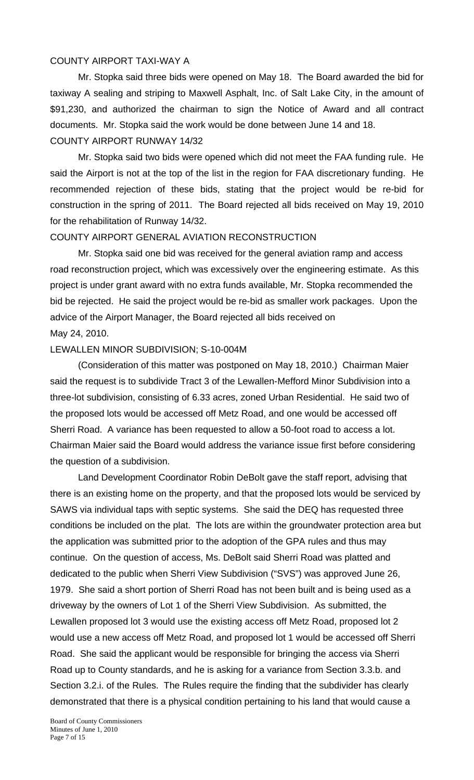### COUNTY AIRPORT TAXI-WAY A

 Mr. Stopka said three bids were opened on May 18. The Board awarded the bid for taxiway A sealing and striping to Maxwell Asphalt, Inc. of Salt Lake City, in the amount of \$91,230, and authorized the chairman to sign the Notice of Award and all contract documents. Mr. Stopka said the work would be done between June 14 and 18. COUNTY AIRPORT RUNWAY 14/32

 Mr. Stopka said two bids were opened which did not meet the FAA funding rule. He said the Airport is not at the top of the list in the region for FAA discretionary funding. He recommended rejection of these bids, stating that the project would be re-bid for construction in the spring of 2011. The Board rejected all bids received on May 19, 2010 for the rehabilitation of Runway 14/32.

#### COUNTY AIRPORT GENERAL AVIATION RECONSTRUCTION

 Mr. Stopka said one bid was received for the general aviation ramp and access road reconstruction project, which was excessively over the engineering estimate. As this project is under grant award with no extra funds available, Mr. Stopka recommended the bid be rejected. He said the project would be re-bid as smaller work packages. Upon the advice of the Airport Manager, the Board rejected all bids received on May 24, 2010.

#### LEWALLEN MINOR SUBDIVISION; S-10-004M

(Consideration of this matter was postponed on May 18, 2010.) Chairman Maier said the request is to subdivide Tract 3 of the Lewallen-Mefford Minor Subdivision into a three-lot subdivision, consisting of 6.33 acres, zoned Urban Residential. He said two of the proposed lots would be accessed off Metz Road, and one would be accessed off Sherri Road. A variance has been requested to allow a 50-foot road to access a lot. Chairman Maier said the Board would address the variance issue first before considering the question of a subdivision.

Land Development Coordinator Robin DeBolt gave the staff report, advising that there is an existing home on the property, and that the proposed lots would be serviced by SAWS via individual taps with septic systems. She said the DEQ has requested three conditions be included on the plat. The lots are within the groundwater protection area but the application was submitted prior to the adoption of the GPA rules and thus may continue. On the question of access, Ms. DeBolt said Sherri Road was platted and dedicated to the public when Sherri View Subdivision ("SVS") was approved June 26, 1979. She said a short portion of Sherri Road has not been built and is being used as a driveway by the owners of Lot 1 of the Sherri View Subdivision. As submitted, the Lewallen proposed lot 3 would use the existing access off Metz Road, proposed lot 2 would use a new access off Metz Road, and proposed lot 1 would be accessed off Sherri Road. She said the applicant would be responsible for bringing the access via Sherri Road up to County standards, and he is asking for a variance from Section 3.3.b. and Section 3.2.i. of the Rules. The Rules require the finding that the subdivider has clearly demonstrated that there is a physical condition pertaining to his land that would cause a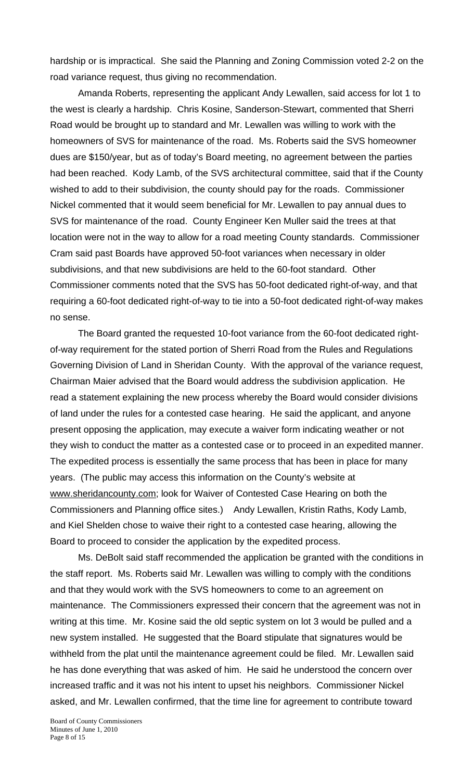hardship or is impractical. She said the Planning and Zoning Commission voted 2-2 on the road variance request, thus giving no recommendation.

Amanda Roberts, representing the applicant Andy Lewallen, said access for lot 1 to the west is clearly a hardship. Chris Kosine, Sanderson-Stewart, commented that Sherri Road would be brought up to standard and Mr. Lewallen was willing to work with the homeowners of SVS for maintenance of the road. Ms. Roberts said the SVS homeowner dues are \$150/year, but as of today's Board meeting, no agreement between the parties had been reached. Kody Lamb, of the SVS architectural committee, said that if the County wished to add to their subdivision, the county should pay for the roads. Commissioner Nickel commented that it would seem beneficial for Mr. Lewallen to pay annual dues to SVS for maintenance of the road. County Engineer Ken Muller said the trees at that location were not in the way to allow for a road meeting County standards. Commissioner Cram said past Boards have approved 50-foot variances when necessary in older subdivisions, and that new subdivisions are held to the 60-foot standard. Other Commissioner comments noted that the SVS has 50-foot dedicated right-of-way, and that requiring a 60-foot dedicated right-of-way to tie into a 50-foot dedicated right-of-way makes no sense.

The Board granted the requested 10-foot variance from the 60-foot dedicated rightof-way requirement for the stated portion of Sherri Road from the Rules and Regulations Governing Division of Land in Sheridan County. With the approval of the variance request, Chairman Maier advised that the Board would address the subdivision application. He read a statement explaining the new process whereby the Board would consider divisions of land under the rules for a contested case hearing. He said the applicant, and anyone present opposing the application, may execute a waiver form indicating weather or not they wish to conduct the matter as a contested case or to proceed in an expedited manner. The expedited process is essentially the same process that has been in place for many years. (The public may access this information on the County's website at www.sheridancounty.com; look for Waiver of Contested Case Hearing on both the Commissioners and Planning office sites.) Andy Lewallen, Kristin Raths, Kody Lamb, and Kiel Shelden chose to waive their right to a contested case hearing, allowing the Board to proceed to consider the application by the expedited process.

Ms. DeBolt said staff recommended the application be granted with the conditions in the staff report. Ms. Roberts said Mr. Lewallen was willing to comply with the conditions and that they would work with the SVS homeowners to come to an agreement on maintenance. The Commissioners expressed their concern that the agreement was not in writing at this time. Mr. Kosine said the old septic system on lot 3 would be pulled and a new system installed. He suggested that the Board stipulate that signatures would be withheld from the plat until the maintenance agreement could be filed. Mr. Lewallen said he has done everything that was asked of him. He said he understood the concern over increased traffic and it was not his intent to upset his neighbors. Commissioner Nickel asked, and Mr. Lewallen confirmed, that the time line for agreement to contribute toward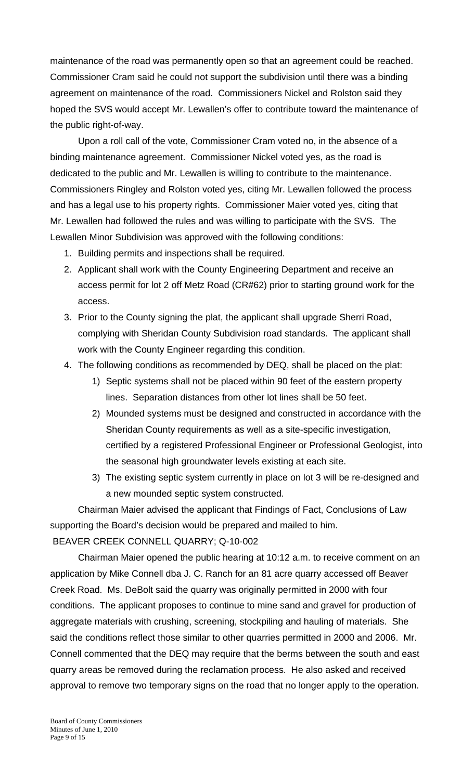maintenance of the road was permanently open so that an agreement could be reached. Commissioner Cram said he could not support the subdivision until there was a binding agreement on maintenance of the road. Commissioners Nickel and Rolston said they hoped the SVS would accept Mr. Lewallen's offer to contribute toward the maintenance of the public right-of-way.

Upon a roll call of the vote, Commissioner Cram voted no, in the absence of a binding maintenance agreement. Commissioner Nickel voted yes, as the road is dedicated to the public and Mr. Lewallen is willing to contribute to the maintenance. Commissioners Ringley and Rolston voted yes, citing Mr. Lewallen followed the process and has a legal use to his property rights. Commissioner Maier voted yes, citing that Mr. Lewallen had followed the rules and was willing to participate with the SVS. The Lewallen Minor Subdivision was approved with the following conditions:

- 1. Building permits and inspections shall be required.
- 2. Applicant shall work with the County Engineering Department and receive an access permit for lot 2 off Metz Road (CR#62) prior to starting ground work for the access.
- 3. Prior to the County signing the plat, the applicant shall upgrade Sherri Road, complying with Sheridan County Subdivision road standards. The applicant shall work with the County Engineer regarding this condition.
- 4. The following conditions as recommended by DEQ, shall be placed on the plat:
	- 1) Septic systems shall not be placed within 90 feet of the eastern property lines. Separation distances from other lot lines shall be 50 feet.
	- 2) Mounded systems must be designed and constructed in accordance with the Sheridan County requirements as well as a site-specific investigation, certified by a registered Professional Engineer or Professional Geologist, into the seasonal high groundwater levels existing at each site.
	- 3) The existing septic system currently in place on lot 3 will be re-designed and a new mounded septic system constructed.

Chairman Maier advised the applicant that Findings of Fact, Conclusions of Law supporting the Board's decision would be prepared and mailed to him.

BEAVER CREEK CONNELL QUARRY; Q-10-002

 Chairman Maier opened the public hearing at 10:12 a.m. to receive comment on an application by Mike Connell dba J. C. Ranch for an 81 acre quarry accessed off Beaver Creek Road. Ms. DeBolt said the quarry was originally permitted in 2000 with four conditions. The applicant proposes to continue to mine sand and gravel for production of aggregate materials with crushing, screening, stockpiling and hauling of materials. She said the conditions reflect those similar to other quarries permitted in 2000 and 2006. Mr. Connell commented that the DEQ may require that the berms between the south and east quarry areas be removed during the reclamation process. He also asked and received approval to remove two temporary signs on the road that no longer apply to the operation.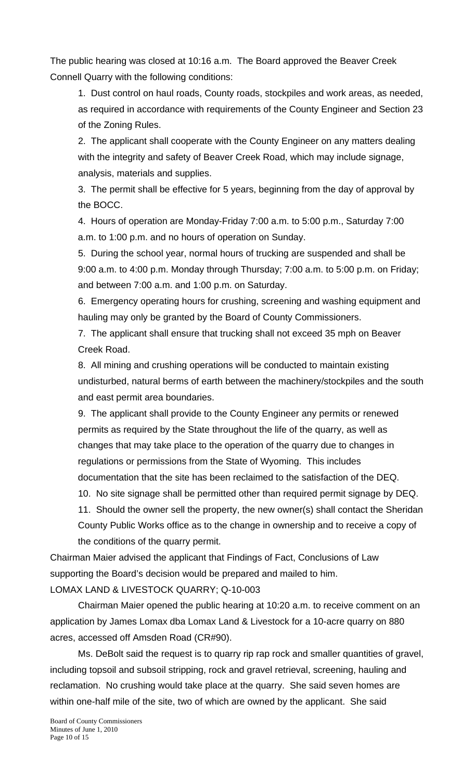The public hearing was closed at 10:16 a.m. The Board approved the Beaver Creek Connell Quarry with the following conditions:

 1. Dust control on haul roads, County roads, stockpiles and work areas, as needed, as required in accordance with requirements of the County Engineer and Section 23 of the Zoning Rules.

 2. The applicant shall cooperate with the County Engineer on any matters dealing with the integrity and safety of Beaver Creek Road, which may include signage, analysis, materials and supplies.

 3. The permit shall be effective for 5 years, beginning from the day of approval by the BOCC.

 4. Hours of operation are Monday-Friday 7:00 a.m. to 5:00 p.m., Saturday 7:00 a.m. to 1:00 p.m. and no hours of operation on Sunday.

 5. During the school year, normal hours of trucking are suspended and shall be 9:00 a.m. to 4:00 p.m. Monday through Thursday; 7:00 a.m. to 5:00 p.m. on Friday; and between 7:00 a.m. and 1:00 p.m. on Saturday.

 6. Emergency operating hours for crushing, screening and washing equipment and hauling may only be granted by the Board of County Commissioners.

 7. The applicant shall ensure that trucking shall not exceed 35 mph on Beaver Creek Road.

 8. All mining and crushing operations will be conducted to maintain existing undisturbed, natural berms of earth between the machinery/stockpiles and the south and east permit area boundaries.

 9. The applicant shall provide to the County Engineer any permits or renewed permits as required by the State throughout the life of the quarry, as well as changes that may take place to the operation of the quarry due to changes in regulations or permissions from the State of Wyoming. This includes documentation that the site has been reclaimed to the satisfaction of the DEQ.

10. No site signage shall be permitted other than required permit signage by DEQ.

 11. Should the owner sell the property, the new owner(s) shall contact the Sheridan County Public Works office as to the change in ownership and to receive a copy of the conditions of the quarry permit.

Chairman Maier advised the applicant that Findings of Fact, Conclusions of Law supporting the Board's decision would be prepared and mailed to him. LOMAX LAND & LIVESTOCK QUARRY; Q-10-003

 Chairman Maier opened the public hearing at 10:20 a.m. to receive comment on an application by James Lomax dba Lomax Land & Livestock for a 10-acre quarry on 880 acres, accessed off Amsden Road (CR#90).

Ms. DeBolt said the request is to quarry rip rap rock and smaller quantities of gravel, including topsoil and subsoil stripping, rock and gravel retrieval, screening, hauling and reclamation. No crushing would take place at the quarry. She said seven homes are within one-half mile of the site, two of which are owned by the applicant. She said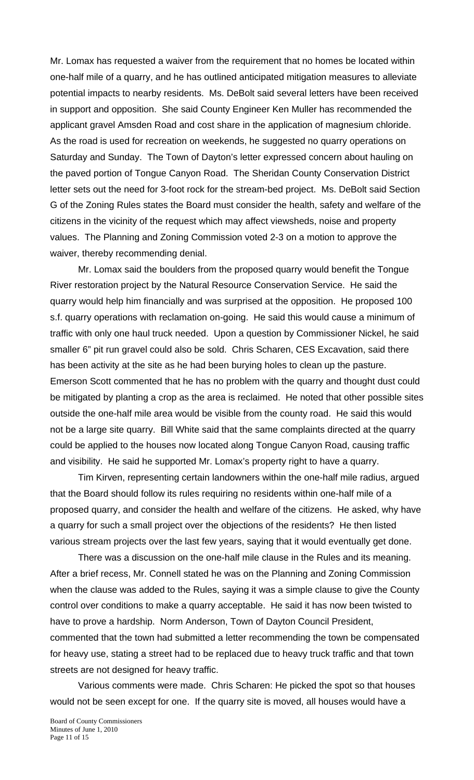Mr. Lomax has requested a waiver from the requirement that no homes be located within one-half mile of a quarry, and he has outlined anticipated mitigation measures to alleviate potential impacts to nearby residents. Ms. DeBolt said several letters have been received in support and opposition. She said County Engineer Ken Muller has recommended the applicant gravel Amsden Road and cost share in the application of magnesium chloride. As the road is used for recreation on weekends, he suggested no quarry operations on Saturday and Sunday. The Town of Dayton's letter expressed concern about hauling on the paved portion of Tongue Canyon Road. The Sheridan County Conservation District letter sets out the need for 3-foot rock for the stream-bed project. Ms. DeBolt said Section G of the Zoning Rules states the Board must consider the health, safety and welfare of the citizens in the vicinity of the request which may affect viewsheds, noise and property values. The Planning and Zoning Commission voted 2-3 on a motion to approve the waiver, thereby recommending denial.

 Mr. Lomax said the boulders from the proposed quarry would benefit the Tongue River restoration project by the Natural Resource Conservation Service. He said the quarry would help him financially and was surprised at the opposition. He proposed 100 s.f. quarry operations with reclamation on-going. He said this would cause a minimum of traffic with only one haul truck needed. Upon a question by Commissioner Nickel, he said smaller 6" pit run gravel could also be sold. Chris Scharen, CES Excavation, said there has been activity at the site as he had been burying holes to clean up the pasture. Emerson Scott commented that he has no problem with the quarry and thought dust could be mitigated by planting a crop as the area is reclaimed. He noted that other possible sites outside the one-half mile area would be visible from the county road. He said this would not be a large site quarry. Bill White said that the same complaints directed at the quarry could be applied to the houses now located along Tongue Canyon Road, causing traffic and visibility. He said he supported Mr. Lomax's property right to have a quarry.

 Tim Kirven, representing certain landowners within the one-half mile radius, argued that the Board should follow its rules requiring no residents within one-half mile of a proposed quarry, and consider the health and welfare of the citizens. He asked, why have a quarry for such a small project over the objections of the residents? He then listed various stream projects over the last few years, saying that it would eventually get done.

There was a discussion on the one-half mile clause in the Rules and its meaning. After a brief recess, Mr. Connell stated he was on the Planning and Zoning Commission when the clause was added to the Rules, saying it was a simple clause to give the County control over conditions to make a quarry acceptable. He said it has now been twisted to have to prove a hardship. Norm Anderson, Town of Dayton Council President, commented that the town had submitted a letter recommending the town be compensated for heavy use, stating a street had to be replaced due to heavy truck traffic and that town streets are not designed for heavy traffic.

 Various comments were made. Chris Scharen: He picked the spot so that houses would not be seen except for one. If the quarry site is moved, all houses would have a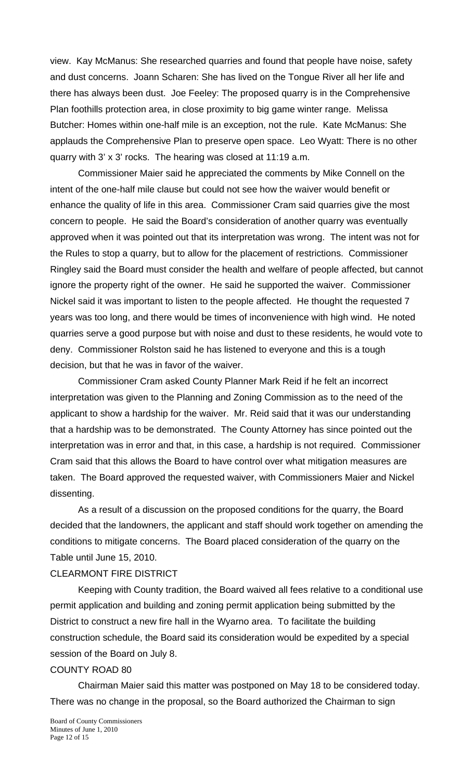view. Kay McManus: She researched quarries and found that people have noise, safety and dust concerns. Joann Scharen: She has lived on the Tongue River all her life and there has always been dust. Joe Feeley: The proposed quarry is in the Comprehensive Plan foothills protection area, in close proximity to big game winter range. Melissa Butcher: Homes within one-half mile is an exception, not the rule. Kate McManus: She applauds the Comprehensive Plan to preserve open space. Leo Wyatt: There is no other quarry with 3' x 3' rocks. The hearing was closed at 11:19 a.m.

 Commissioner Maier said he appreciated the comments by Mike Connell on the intent of the one-half mile clause but could not see how the waiver would benefit or enhance the quality of life in this area. Commissioner Cram said quarries give the most concern to people. He said the Board's consideration of another quarry was eventually approved when it was pointed out that its interpretation was wrong. The intent was not for the Rules to stop a quarry, but to allow for the placement of restrictions. Commissioner Ringley said the Board must consider the health and welfare of people affected, but cannot ignore the property right of the owner. He said he supported the waiver. Commissioner Nickel said it was important to listen to the people affected. He thought the requested 7 years was too long, and there would be times of inconvenience with high wind. He noted quarries serve a good purpose but with noise and dust to these residents, he would vote to deny. Commissioner Rolston said he has listened to everyone and this is a tough decision, but that he was in favor of the waiver.

Commissioner Cram asked County Planner Mark Reid if he felt an incorrect interpretation was given to the Planning and Zoning Commission as to the need of the applicant to show a hardship for the waiver. Mr. Reid said that it was our understanding that a hardship was to be demonstrated. The County Attorney has since pointed out the interpretation was in error and that, in this case, a hardship is not required. Commissioner Cram said that this allows the Board to have control over what mitigation measures are taken. The Board approved the requested waiver, with Commissioners Maier and Nickel dissenting.

As a result of a discussion on the proposed conditions for the quarry, the Board decided that the landowners, the applicant and staff should work together on amending the conditions to mitigate concerns. The Board placed consideration of the quarry on the Table until June 15, 2010.

#### CLEARMONT FIRE DISTRICT

 Keeping with County tradition, the Board waived all fees relative to a conditional use permit application and building and zoning permit application being submitted by the District to construct a new fire hall in the Wyarno area. To facilitate the building construction schedule, the Board said its consideration would be expedited by a special session of the Board on July 8.

### COUNTY ROAD 80

 Chairman Maier said this matter was postponed on May 18 to be considered today. There was no change in the proposal, so the Board authorized the Chairman to sign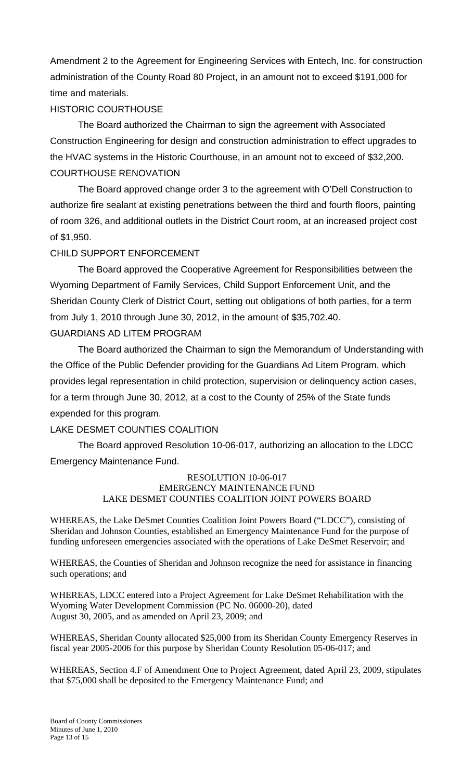Amendment 2 to the Agreement for Engineering Services with Entech, Inc. for construction administration of the County Road 80 Project, in an amount not to exceed \$191,000 for time and materials.

# HISTORIC COURTHOUSE

The Board authorized the Chairman to sign the agreement with Associated Construction Engineering for design and construction administration to effect upgrades to the HVAC systems in the Historic Courthouse, in an amount not to exceed of \$32,200. COURTHOUSE RENOVATION

The Board approved change order 3 to the agreement with O'Dell Construction to authorize fire sealant at existing penetrations between the third and fourth floors, painting of room 326, and additional outlets in the District Court room, at an increased project cost of \$1,950.

# CHILD SUPPORT ENFORCEMENT

The Board approved the Cooperative Agreement for Responsibilities between the Wyoming Department of Family Services, Child Support Enforcement Unit, and the Sheridan County Clerk of District Court, setting out obligations of both parties, for a term from July 1, 2010 through June 30, 2012, in the amount of \$35,702.40.

# GUARDIANS AD LITEM PROGRAM

The Board authorized the Chairman to sign the Memorandum of Understanding with the Office of the Public Defender providing for the Guardians Ad Litem Program, which provides legal representation in child protection, supervision or delinquency action cases, for a term through June 30, 2012, at a cost to the County of 25% of the State funds expended for this program.

# LAKE DESMET COUNTIES COALITION

The Board approved Resolution 10-06-017, authorizing an allocation to the LDCC Emergency Maintenance Fund.

#### RESOLUTION 10-06-017 EMERGENCY MAINTENANCE FUND LAKE DESMET COUNTIES COALITION JOINT POWERS BOARD

WHEREAS, the Lake DeSmet Counties Coalition Joint Powers Board ("LDCC"), consisting of Sheridan and Johnson Counties, established an Emergency Maintenance Fund for the purpose of funding unforeseen emergencies associated with the operations of Lake DeSmet Reservoir; and

WHEREAS, the Counties of Sheridan and Johnson recognize the need for assistance in financing such operations; and

WHEREAS, LDCC entered into a Project Agreement for Lake DeSmet Rehabilitation with the Wyoming Water Development Commission (PC No. 06000-20), dated August 30, 2005, and as amended on April 23, 2009; and

WHEREAS, Sheridan County allocated \$25,000 from its Sheridan County Emergency Reserves in fiscal year 2005-2006 for this purpose by Sheridan County Resolution 05-06-017; and

WHEREAS, Section 4.F of Amendment One to Project Agreement, dated April 23, 2009, stipulates that \$75,000 shall be deposited to the Emergency Maintenance Fund; and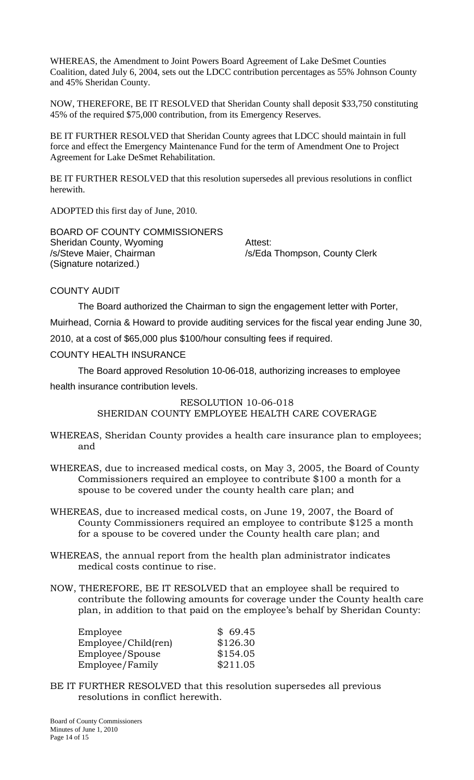WHEREAS, the Amendment to Joint Powers Board Agreement of Lake DeSmet Counties Coalition, dated July 6, 2004, sets out the LDCC contribution percentages as 55% Johnson County and 45% Sheridan County.

NOW, THEREFORE, BE IT RESOLVED that Sheridan County shall deposit \$33,750 constituting 45% of the required \$75,000 contribution, from its Emergency Reserves.

BE IT FURTHER RESOLVED that Sheridan County agrees that LDCC should maintain in full force and effect the Emergency Maintenance Fund for the term of Amendment One to Project Agreement for Lake DeSmet Rehabilitation.

BE IT FURTHER RESOLVED that this resolution supersedes all previous resolutions in conflict herewith.

ADOPTED this first day of June, 2010.

BOARD OF COUNTY COMMISSIONERS Sheridan County, Wyoming **Attest:** /s/Steve Maier, Chairman /s/Eda Thompson, County Clerk (Signature notarized.)

COUNTY AUDIT

The Board authorized the Chairman to sign the engagement letter with Porter,

Muirhead, Cornia & Howard to provide auditing services for the fiscal year ending June 30,

2010, at a cost of \$65,000 plus \$100/hour consulting fees if required.

### COUNTY HEALTH INSURANCE

 The Board approved Resolution 10-06-018, authorizing increases to employee health insurance contribution levels.

### RESOLUTION 10-06-018

SHERIDAN COUNTY EMPLOYEE HEALTH CARE COVERAGE

- WHEREAS, Sheridan County provides a health care insurance plan to employees; and
- WHEREAS, due to increased medical costs, on May 3, 2005, the Board of County Commissioners required an employee to contribute \$100 a month for a spouse to be covered under the county health care plan; and
- WHEREAS, due to increased medical costs, on June 19, 2007, the Board of County Commissioners required an employee to contribute \$125 a month for a spouse to be covered under the County health care plan; and
- WHEREAS, the annual report from the health plan administrator indicates medical costs continue to rise.
- NOW, THEREFORE, BE IT RESOLVED that an employee shall be required to contribute the following amounts for coverage under the County health care plan, in addition to that paid on the employee's behalf by Sheridan County:

| Employee            | \$69.45  |
|---------------------|----------|
| Employee/Child(ren) | \$126.30 |
| Employee/Spouse     | \$154.05 |
| Employee/Family     | \$211.05 |

BE IT FURTHER RESOLVED that this resolution supersedes all previous resolutions in conflict herewith.